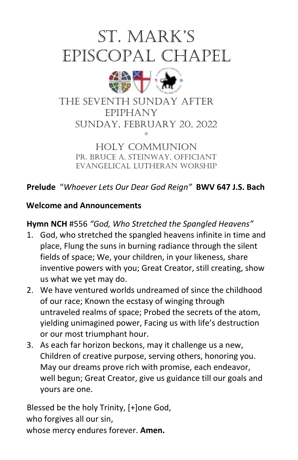



# The Seventh Sunday after Epiphany SUNDAY, February 20, 2022 \*

### Holy Communion Pr. Bruce A. Steinway, Officiant Evangelical Lutheran Worship

## **Prelude** "*Whoever Lets Our Dear God Reign"* **BWV 647 J.S. Bach**

## **Welcome and Announcements**

## **Hymn NCH** #556 *"God, Who Stretched the Spangled Heavens"*

- 1. God, who stretched the spangled heavens infinite in time and place, Flung the suns in burning radiance through the silent fields of space; We, your children, in your likeness, share inventive powers with you; Great Creator, still creating, show us what we yet may do.
- 2. We have ventured worlds undreamed of since the childhood of our race; Known the ecstasy of winging through untraveled realms of space; Probed the secrets of the atom, yielding unimagined power, Facing us with life's destruction or our most triumphant hour.
- 3. As each far horizon beckons, may it challenge us a new, Children of creative purpose, serving others, honoring you. May our dreams prove rich with promise, each endeavor, well begun; Great Creator, give us guidance till our goals and yours are one.

Blessed be the holy Trinity, [+]one God, who forgives all our sin, whose mercy endures forever. **Amen.**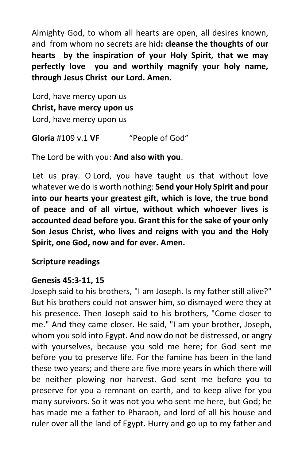Almighty God, to whom all hearts are open, all desires known, and from whom no secrets are hid**: cleanse the thoughts of our hearts by the inspiration of your Holy Spirit, that we may perfectly love you and worthily magnify your holy name, through Jesus Christ our Lord. Amen.** 

Lord, have mercy upon us **Christ, have mercy upon us**  Lord, have mercy upon us

**Gloria** #109 v.1 **VF** "People of God"

The Lord be with you: **And also with you**.

Let us pray. O Lord, you have taught us that without love whatever we do is worth nothing: **Send your Holy Spirit and pour into our hearts your greatest gift, which is love, the true bond of peace and of all virtue, without which whoever lives is accounted dead before you. Grant this for the sake of your only Son Jesus Christ, who lives and reigns with you and the Holy Spirit, one God, now and for ever. Amen.**

## **Scripture readings**

## **Genesis 45:3-11, 15**

Joseph said to his brothers, "I am Joseph. Is my father still alive?" But his brothers could not answer him, so dismayed were they at his presence. Then Joseph said to his brothers, "Come closer to me." And they came closer. He said, "I am your brother, Joseph, whom you sold into Egypt. And now do not be distressed, or angry with yourselves, because you sold me here; for God sent me before you to preserve life. For the famine has been in the land these two years; and there are five more years in which there will be neither plowing nor harvest. God sent me before you to preserve for you a remnant on earth, and to keep alive for you many survivors. So it was not you who sent me here, but God; he has made me a father to Pharaoh, and lord of all his house and ruler over all the land of Egypt. Hurry and go up to my father and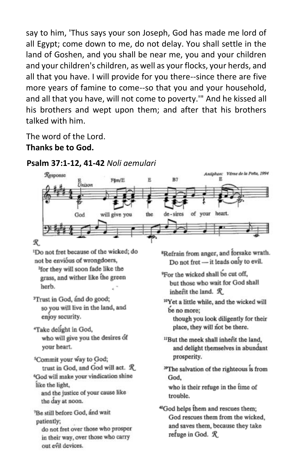say to him, 'Thus says your son Joseph, God has made me lord of all Egypt; come down to me, do not delay. You shall settle in the land of Goshen, and you shall be near me, you and your children and your children's children, as well as your flocks, your herds, and all that you have. I will provide for you there--since there are five more years of famine to come--so that you and your household, and all that you have, will not come to poverty.'" And he kissed all his brothers and wept upon them; and after that his brothers talked with him.

The word of the Lord.

#### **Thanks be to God.**

#### **Psalm 37:1-12, 41-42** *Noli aemulari*



<sup>1</sup>Do not fret because of the wicked; do not be envióus of wrongdoers,

<sup>2</sup>for they will soon fade like the grass, and wither like the green herb.

<sup>3</sup>Trust in God, and do good; so you will live in the land, and enjoy security.

'Take delight in God, who will give you the desires of your heart.

<sup>5</sup>Commit your way to God; trust in God, and God will act. 见

<sup>6</sup>God will make your vindication shine like the light,

and the justice of your cause like the day at noon.

<sup>7</sup>Be still before God, and wait patiently; do not fret over those who prosper

in their way, over those who carry out evil devices.

<sup>8</sup>Refrain from anger, and forsake wrath. Do not fret - it leads only to evil.

- <sup>9</sup>For the wicked shall be cut off, but those who wait for God shall inherit the land. R
- <sup>10</sup>Yet a little while, and the wicked will be no more:
	- though you look diligently for their place, they will not be there.
- <sup>11</sup>But the meek shall inherit the land, and delight themselves in abundant prosperity.
- <sup>39</sup>The salvation of the righteous is from God.

who is their refuge in the time of trouble.

<sup>40</sup>God helps them and rescues them; God rescues them from the wicked, and saves them, because they take refuge in God.  $R$ .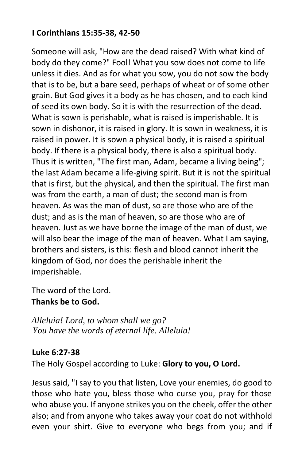## **I Corinthians 15:35-38, 42-50**

Someone will ask, "How are the dead raised? With what kind of body do they come?" Fool! What you sow does not come to life unless it dies. And as for what you sow, you do not sow the body that is to be, but a bare seed, perhaps of wheat or of some other grain. But God gives it a body as he has chosen, and to each kind of seed its own body. So it is with the resurrection of the dead. What is sown is perishable, what is raised is imperishable. It is sown in dishonor, it is raised in glory. It is sown in weakness, it is raised in power. It is sown a physical body, it is raised a spiritual body. If there is a physical body, there is also a spiritual body. Thus it is written, "The first man, Adam, became a living being"; the last Adam became a life-giving spirit. But it is not the spiritual that is first, but the physical, and then the spiritual. The first man was from the earth, a man of dust; the second man is from heaven. As was the man of dust, so are those who are of the dust; and as is the man of heaven, so are those who are of heaven. Just as we have borne the image of the man of dust, we will also bear the image of the man of heaven. What I am saying, brothers and sisters, is this: flesh and blood cannot inherit the kingdom of God, nor does the perishable inherit the imperishable.

The word of the Lord.

### **Thanks be to God.**

*Alleluia! Lord, to whom shall we go? You have the words of eternal life. Alleluia!* 

### **Luke 6:27-38**

The Holy Gospel according to Luke: **Glory to you, O Lord.**

Jesus said, "I say to you that listen, Love your enemies, do good to those who hate you, bless those who curse you, pray for those who abuse you. If anyone strikes you on the cheek, offer the other also; and from anyone who takes away your coat do not withhold even your shirt. Give to everyone who begs from you; and if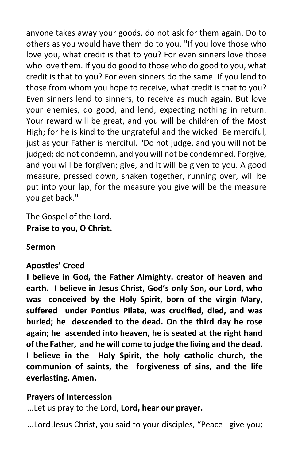anyone takes away your goods, do not ask for them again. Do to others as you would have them do to you. "If you love those who love you, what credit is that to you? For even sinners love those who love them. If you do good to those who do good to you, what credit is that to you? For even sinners do the same. If you lend to those from whom you hope to receive, what credit is that to you? Even sinners lend to sinners, to receive as much again. But love your enemies, do good, and lend, expecting nothing in return. Your reward will be great, and you will be children of the Most High; for he is kind to the ungrateful and the wicked. Be merciful, just as your Father is merciful. "Do not judge, and you will not be judged; do not condemn, and you will not be condemned. Forgive, and you will be forgiven; give, and it will be given to you. A good measure, pressed down, shaken together, running over, will be put into your lap; for the measure you give will be the measure you get back."

The Gospel of the Lord. **Praise to you, O Christ.** 

### **Sermon**

## **Apostles' Creed**

**I believe in God, the Father Almighty. creator of heaven and earth. I believe in Jesus Christ, God's only Son, our Lord, who was conceived by the Holy Spirit, born of the virgin Mary, suffered under Pontius Pilate, was crucified, died, and was buried; he descended to the dead. On the third day he rose again; he ascended into heaven, he is seated at the right hand of the Father, and he will come to judge the living and the dead. I believe in the Holy Spirit, the holy catholic church, the communion of saints, the forgiveness of sins, and the life everlasting. Amen.** 

### **Prayers of Intercession**

...Let us pray to the Lord, **Lord, hear our prayer.** 

...Lord Jesus Christ, you said to your disciples, "Peace I give you;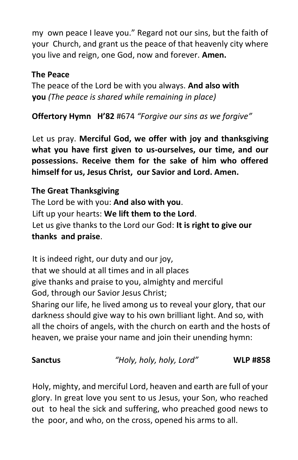my own peace I leave you." Regard not our sins, but the faith of your Church, and grant us the peace of that heavenly city where you live and reign, one God, now and forever. **Amen.** 

## **The Peace**

The peace of the Lord be with you always. **And also with you** *(The peace is shared while remaining in place)* 

**Offertory Hymn H'82** #674 *"Forgive our sins as we forgive"*

Let us pray. **Merciful God, we offer with joy and thanksgiving what you have first given to us-ourselves, our time, and our possessions. Receive them for the sake of him who offered himself for us, Jesus Christ, our Savior and Lord. Amen.** 

# **The Great Thanksgiving**

The Lord be with you: **And also with you**. Lift up your hearts: **We lift them to the Lord**. Let us give thanks to the Lord our God: **It is right to give our thanks and praise**.

It is indeed right, our duty and our joy, that we should at all times and in all places give thanks and praise to you, almighty and merciful God, through our Savior Jesus Christ; Sharing our life, he lived among us to reveal your glory, that our darkness should give way to his own brilliant light. And so, with all the choirs of angels, with the church on earth and the hosts of heaven, we praise your name and join their unending hymn:

**Sanctus** *"Holy, holy, holy, Lord"* **WLP #858**

Holy, mighty, and merciful Lord, heaven and earth are full of your glory. In great love you sent to us Jesus, your Son, who reached out to heal the sick and suffering, who preached good news to the poor, and who, on the cross, opened his arms to all.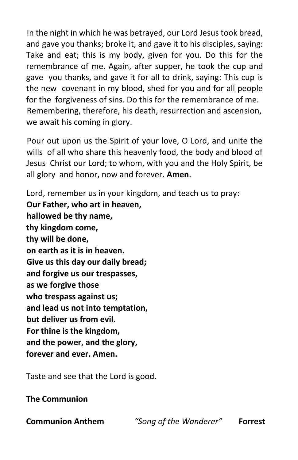In the night in which he was betrayed, our Lord Jesus took bread, and gave you thanks; broke it, and gave it to his disciples, saying: Take and eat; this is my body, given for you. Do this for the remembrance of me. Again, after supper, he took the cup and gave you thanks, and gave it for all to drink, saying: This cup is the new covenant in my blood, shed for you and for all people for the forgiveness of sins. Do this for the remembrance of me. Remembering, therefore, his death, resurrection and ascension, we await his coming in glory.

Pour out upon us the Spirit of your love, O Lord, and unite the wills of all who share this heavenly food, the body and blood of Jesus Christ our Lord; to whom, with you and the Holy Spirit, be all glory and honor, now and forever. **Amen**.

Lord, remember us in your kingdom, and teach us to pray: **Our Father, who art in heaven, hallowed be thy name, thy kingdom come, thy will be done, on earth as it is in heaven. Give us this day our daily bread; and forgive us our trespasses, as we forgive those who trespass against us; and lead us not into temptation, but deliver us from evil. For thine is the kingdom, and the power, and the glory, forever and ever. Amen.** 

Taste and see that the Lord is good.

### **The Communion**

**Communion Anthem** *"Song of the Wanderer"* **Forrest**